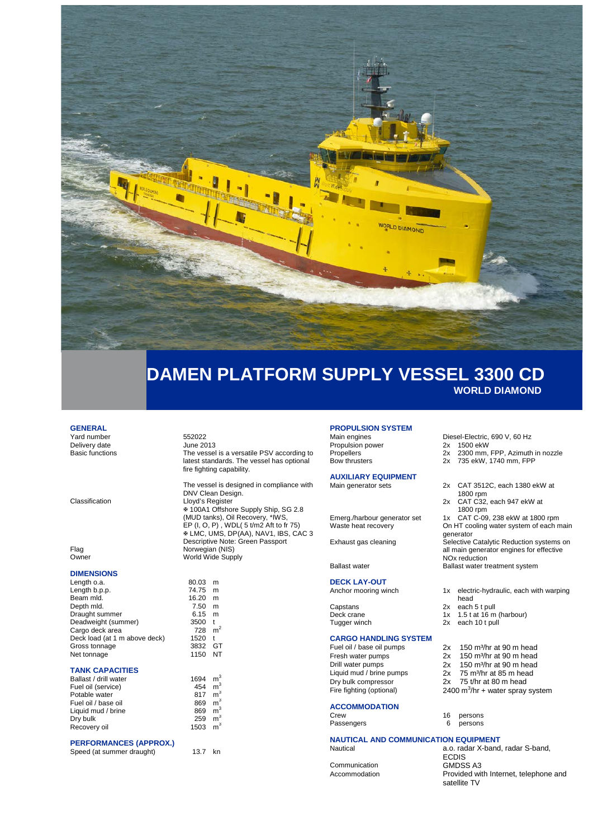

## **DAMEN PLATFORM SUPPLY VESSEL 3300 CD WORLD DIAMOND**

### **GENERAL**

Yard number<br>Delivery date Figure 2013 Delivery date<br>Basic functions

#### **DIMENSIONS**

| Length o.a.                   | 80.03 | m              |
|-------------------------------|-------|----------------|
| Length b.p.p.                 | 74.75 | m              |
| Beam mld.                     | 16.20 | m              |
| Depth mld.                    | 7.50  | m              |
| Draught summer                | 6.15  | m              |
| Deadweight (summer)           | 3500  | t              |
| Cargo deck area               | 728   | m <sup>2</sup> |
| Deck load (at 1 m above deck) | 1520  | t              |
| Gross tonnage                 | 3832  | GT             |
| Net tonnage                   | 1150  | NT             |

#### **TANK CAPACITIES**

| Ballast / drill water | 1694 | m <sup>3</sup> |
|-----------------------|------|----------------|
| Fuel oil (service)    | 454  | m <sup>3</sup> |
| Potable water         | 817  | m <sup>3</sup> |
| Fuel oil / base oil   | 869  | m <sup>3</sup> |
| Liquid mud / brine    | 869  | m <sup>3</sup> |
| Dry bulk              | 259  | m <sup>3</sup> |
| Recovery oil          | 1503 | m <sup>3</sup> |

### **PERFORMANCES (APPROX.)**

Speed (at summer draught) 13.7 kn

### The vessel is a versatile PSV according to latest standards. The vessel has optional fire fighting capability.

The vessel is designed in compliance with DNV Clean Design. Classification Lloyd's Register 100A1 Offshore Supply Ship, SG 2.8 (MUD tanks), Oil Recovery, \*IWS, EP (I, O, P) , WDL( 5 t/m2 Aft to fr 75) LMC, UMS, DP(AA), NAV1, IBS, CAC 3 Descriptive Note: Green Passport Flag Norwegian (NIS) Owner **World Wide Supply** 

1150 NT

## **PROPULSION SYSTEM**

Propulsion power 2x<br>Propellers 2x Propellers 2x 2300 mm, FPP, Azimuth in nozzle<br>
2x 735 ekW, 1740 mm, FPP

# **AUXILIARY EQUIPMENT**

**DECK LAY-OUT**

Capstans 2x each 5 t pull<br>Deck crane 2x 1.5 t at 16 m

#### **CARGO HANDLING SYSTEM**

Fresh water pumps 2x  $150 \text{ m}^3/\text{hr}$  at 90 m head<br>Drill water pumps 2x  $150 \text{ m}^3/\text{hr}$  at 90 m head Drill water pumps<br>1 jouid mud / brine pumps Liquid mud / brine pumps 2x 75 m<sup>3</sup>/hr at 85 m head<br>Dry bulk compressor 2x 75 t/hr at 80 m head Fire fighting (optional)

### **ACCOMMODATION**

Passengers

# **NAUTICAL AND COMMUNICATION EQUIPMENT**<br>Nautical a 0 radar X-band

Communication<br>Accommodation

Diesel-Electric, 690 V, 60 Hz<br>2x 1500 ekW

- 
- 735 ekW, 1740 mm, FPP
- 
- 2x CAT 3512C, each 1380 ekW at 1800 rpm
- 2x CAT C32, each 947 ekW at 1800 rpm

Emerg./harbour generator set 1x CAT C-09, 238 ekW at 1800 rpm<br>Waste heat recovery 0n HT cooling water system of each n On HT cooling water system of each main generator

Exhaust gas cleaning Selective Catalytic Reduction systems on all main generator engines for effective NOx reduction Ballast water Ballast water treatment system

- 1x electric-hydraulic, each with warping head
- 
- Deck crane 1x 1.5 t at 16 m (harbour)<br>
Tugger winch 1x 2x each 10 t pull
	- each 10 t pull
- Fuel oil / base oil pumps 2x 150 m<sup>3</sup>/hr at 90 m head
	-
	-
	- 75 t/hr at 80 m head

2400  $m^3/hr$  + water spray system

16 persons<br>6 persons

a.o. radar X-band, radar S-band, ECDIS<br>GMDSS A3 Provided with Internet, telephone and satellite TV